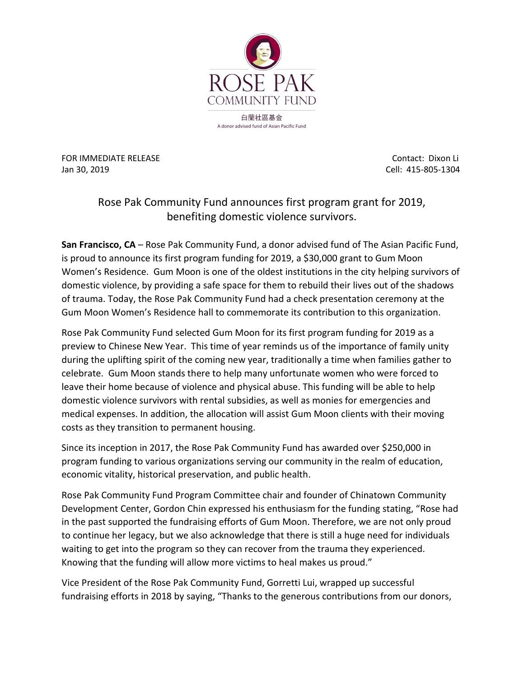

FOR IMMEDIATE RELEASE Contact: Dixon Li Jan 30, 2019 Cell: 415-805-1304

## Rose Pak Community Fund announces first program grant for 2019, benefiting domestic violence survivors.

**San Francisco, CA** – Rose Pak Community Fund, a donor advised fund of The Asian Pacific Fund, is proud to announce its first program funding for 2019, a \$30,000 grant to Gum Moon Women's Residence. Gum Moon is one of the oldest institutions in the city helping survivors of domestic violence, by providing a safe space for them to rebuild their lives out of the shadows of trauma. Today, the Rose Pak Community Fund had a check presentation ceremony at the Gum Moon Women's Residence hall to commemorate its contribution to this organization.

Rose Pak Community Fund selected Gum Moon for its first program funding for 2019 as a preview to Chinese New Year. This time of year reminds us of the importance of family unity during the uplifting spirit of the coming new year, traditionally a time when families gather to celebrate. Gum Moon stands there to help many unfortunate women who were forced to leave their home because of violence and physical abuse. This funding will be able to help domestic violence survivors with rental subsidies, as well as monies for emergencies and medical expenses. In addition, the allocation will assist Gum Moon clients with their moving costs as they transition to permanent housing.

Since its inception in 2017, the Rose Pak Community Fund has awarded over \$250,000 in program funding to various organizations serving our community in the realm of education, economic vitality, historical preservation, and public health.

Rose Pak Community Fund Program Committee chair and founder of Chinatown Community Development Center, Gordon Chin expressed his enthusiasm for the funding stating, "Rose had in the past supported the fundraising efforts of Gum Moon. Therefore, we are not only proud to continue her legacy, but we also acknowledge that there is still a huge need for individuals waiting to get into the program so they can recover from the trauma they experienced. Knowing that the funding will allow more victims to heal makes us proud."

Vice President of the Rose Pak Community Fund, Gorretti Lui, wrapped up successful fundraising efforts in 2018 by saying, "Thanks to the generous contributions from our donors,